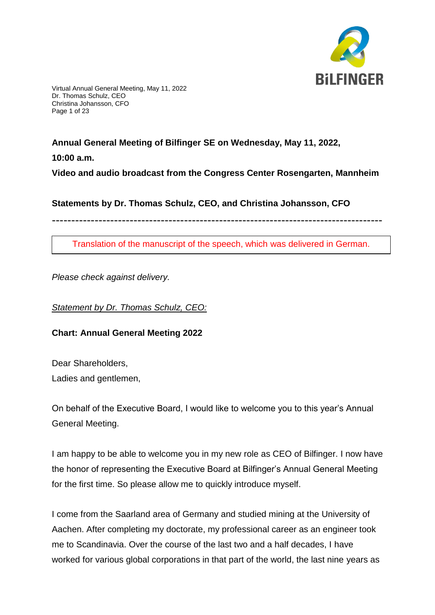

Virtual Annual General Meeting, May 11, 2022 Dr. Thomas Schulz, CEO Christina Johansson, CFO Page 1 of 23

# **Annual General Meeting of Bilfinger SE on Wednesday, May 11, 2022,**

**10:00 a.m.**

**Video and audio broadcast from the Congress Center Rosengarten, Mannheim**

**Statements by Dr. Thomas Schulz, CEO, and Christina Johansson, CFO**

-------------------------------------------------------------------------------------

Translation of the manuscript of the speech, which was delivered in German.

*Please check against delivery.*

*Statement by Dr. Thomas Schulz, CEO:*

**Chart: Annual General Meeting 2022**

Dear Shareholders, Ladies and gentlemen,

On behalf of the Executive Board, I would like to welcome you to this year's Annual General Meeting.

I am happy to be able to welcome you in my new role as CEO of Bilfinger. I now have the honor of representing the Executive Board at Bilfinger's Annual General Meeting for the first time. So please allow me to quickly introduce myself.

I come from the Saarland area of Germany and studied mining at the University of Aachen. After completing my doctorate, my professional career as an engineer took me to Scandinavia. Over the course of the last two and a half decades, I have worked for various global corporations in that part of the world, the last nine years as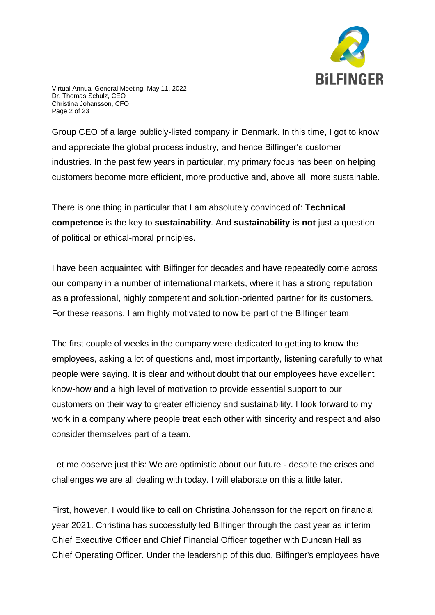

Virtual Annual General Meeting, May 11, 2022 Dr. Thomas Schulz, CEO Christina Johansson, CFO Page 2 of 23

Group CEO of a large publicly-listed company in Denmark. In this time, I got to know and appreciate the global process industry, and hence Bilfinger's customer industries. In the past few years in particular, my primary focus has been on helping customers become more efficient, more productive and, above all, more sustainable.

There is one thing in particular that I am absolutely convinced of: **Technical competence** is the key to **sustainability**. And **sustainability is not** just a question of political or ethical-moral principles.

I have been acquainted with Bilfinger for decades and have repeatedly come across our company in a number of international markets, where it has a strong reputation as a professional, highly competent and solution-oriented partner for its customers. For these reasons, I am highly motivated to now be part of the Bilfinger team.

The first couple of weeks in the company were dedicated to getting to know the employees, asking a lot of questions and, most importantly, listening carefully to what people were saying. It is clear and without doubt that our employees have excellent know-how and a high level of motivation to provide essential support to our customers on their way to greater efficiency and sustainability. I look forward to my work in a company where people treat each other with sincerity and respect and also consider themselves part of a team.

Let me observe just this: We are optimistic about our future - despite the crises and challenges we are all dealing with today. I will elaborate on this a little later.

First, however, I would like to call on Christina Johansson for the report on financial year 2021. Christina has successfully led Bilfinger through the past year as interim Chief Executive Officer and Chief Financial Officer together with Duncan Hall as Chief Operating Officer. Under the leadership of this duo, Bilfinger's employees have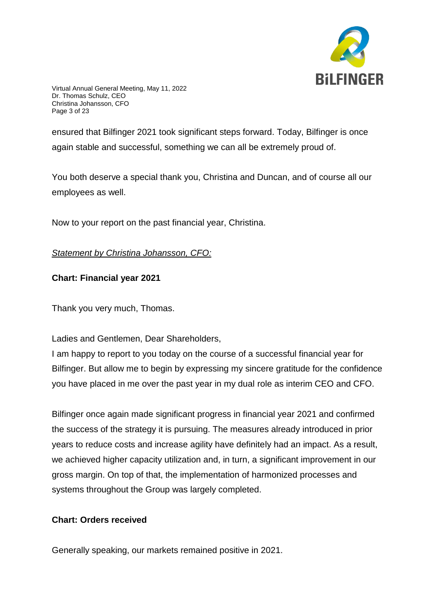

Virtual Annual General Meeting, May 11, 2022 Dr. Thomas Schulz, CEO Christina Johansson, CFO Page 3 of 23

ensured that Bilfinger 2021 took significant steps forward. Today, Bilfinger is once again stable and successful, something we can all be extremely proud of.

You both deserve a special thank you, Christina and Duncan, and of course all our employees as well.

Now to your report on the past financial year, Christina.

# *Statement by Christina Johansson, CFO:*

## **Chart: Financial year 2021**

Thank you very much, Thomas.

Ladies and Gentlemen, Dear Shareholders,

I am happy to report to you today on the course of a successful financial year for Bilfinger. But allow me to begin by expressing my sincere gratitude for the confidence you have placed in me over the past year in my dual role as interim CEO and CFO.

Bilfinger once again made significant progress in financial year 2021 and confirmed the success of the strategy it is pursuing. The measures already introduced in prior years to reduce costs and increase agility have definitely had an impact. As a result, we achieved higher capacity utilization and, in turn, a significant improvement in our gross margin. On top of that, the implementation of harmonized processes and systems throughout the Group was largely completed.

## **Chart: Orders received**

Generally speaking, our markets remained positive in 2021.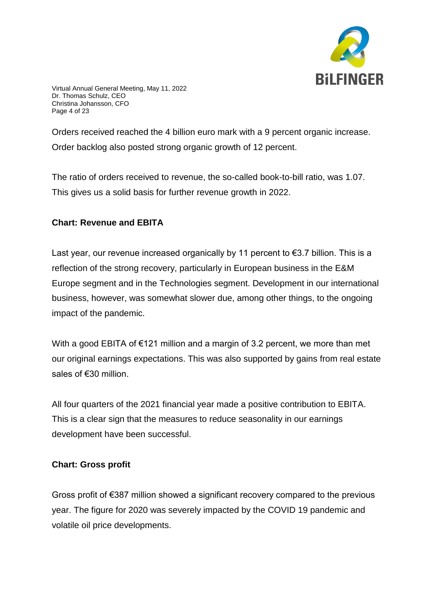

Virtual Annual General Meeting, May 11, 2022 Dr. Thomas Schulz, CEO Christina Johansson, CFO Page 4 of 23

Orders received reached the 4 billion euro mark with a 9 percent organic increase. Order backlog also posted strong organic growth of 12 percent.

The ratio of orders received to revenue, the so-called book-to-bill ratio, was 1.07. This gives us a solid basis for further revenue growth in 2022.

## **Chart: Revenue and EBITA**

Last year, our revenue increased organically by 11 percent to €3.7 billion. This is a reflection of the strong recovery, particularly in European business in the E&M Europe segment and in the Technologies segment. Development in our international business, however, was somewhat slower due, among other things, to the ongoing impact of the pandemic.

With a good EBITA of €121 million and a margin of 3.2 percent, we more than met our original earnings expectations. This was also supported by gains from real estate sales of €30 million.

All four quarters of the 2021 financial year made a positive contribution to EBITA. This is a clear sign that the measures to reduce seasonality in our earnings development have been successful.

## **Chart: Gross profit**

Gross profit of €387 million showed a significant recovery compared to the previous year. The figure for 2020 was severely impacted by the COVID 19 pandemic and volatile oil price developments.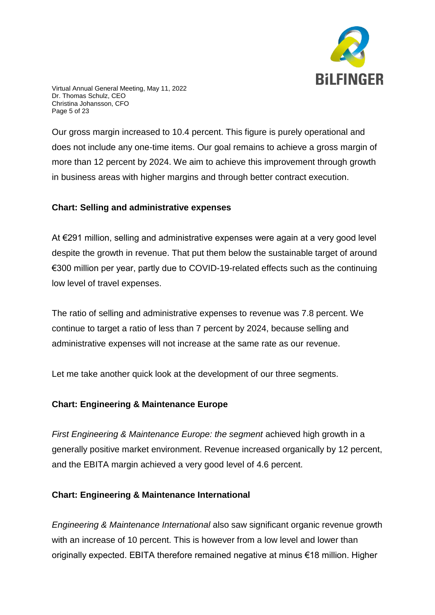

Virtual Annual General Meeting, May 11, 2022 Dr. Thomas Schulz, CEO Christina Johansson, CFO Page 5 of 23

Our gross margin increased to 10.4 percent. This figure is purely operational and does not include any one-time items. Our goal remains to achieve a gross margin of more than 12 percent by 2024. We aim to achieve this improvement through growth in business areas with higher margins and through better contract execution.

### **Chart: Selling and administrative expenses**

At €291 million, selling and administrative expenses were again at a very good level despite the growth in revenue. That put them below the sustainable target of around €300 million per year, partly due to COVID-19-related effects such as the continuing low level of travel expenses.

The ratio of selling and administrative expenses to revenue was 7.8 percent. We continue to target a ratio of less than 7 percent by 2024, because selling and administrative expenses will not increase at the same rate as our revenue.

Let me take another quick look at the development of our three segments.

#### **Chart: Engineering & Maintenance Europe**

*First Engineering & Maintenance Europe: the segment* achieved high growth in a generally positive market environment. Revenue increased organically by 12 percent, and the EBITA margin achieved a very good level of 4.6 percent.

## **Chart: Engineering & Maintenance International**

*Engineering & Maintenance International* also saw significant organic revenue growth with an increase of 10 percent. This is however from a low level and lower than originally expected. EBITA therefore remained negative at minus €18 million. Higher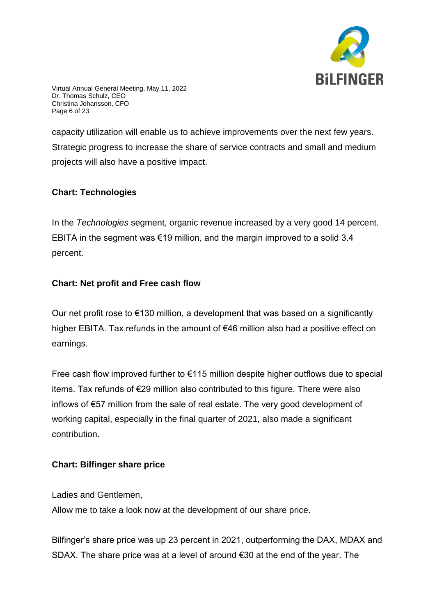

Virtual Annual General Meeting, May 11, 2022 Dr. Thomas Schulz, CEO Christina Johansson, CFO Page 6 of 23

capacity utilization will enable us to achieve improvements over the next few years. Strategic progress to increase the share of service contracts and small and medium projects will also have a positive impact.

# **Chart: Technologies**

In the *Technologies* segment, organic revenue increased by a very good 14 percent. EBITA in the segment was  $\epsilon$ 19 million, and the margin improved to a solid 3.4 percent.

## **Chart: Net profit and Free cash flow**

Our net profit rose to  $\epsilon$ 130 million, a development that was based on a significantly higher EBITA. Tax refunds in the amount of €46 million also had a positive effect on earnings.

Free cash flow improved further to  $E$ 115 million despite higher outflows due to special items. Tax refunds of €29 million also contributed to this figure. There were also inflows of €57 million from the sale of real estate. The very good development of working capital, especially in the final quarter of 2021, also made a significant contribution.

## **Chart: Bilfinger share price**

Ladies and Gentlemen,

Allow me to take a look now at the development of our share price.

Bilfinger's share price was up 23 percent in 2021, outperforming the DAX, MDAX and SDAX. The share price was at a level of around €30 at the end of the year. The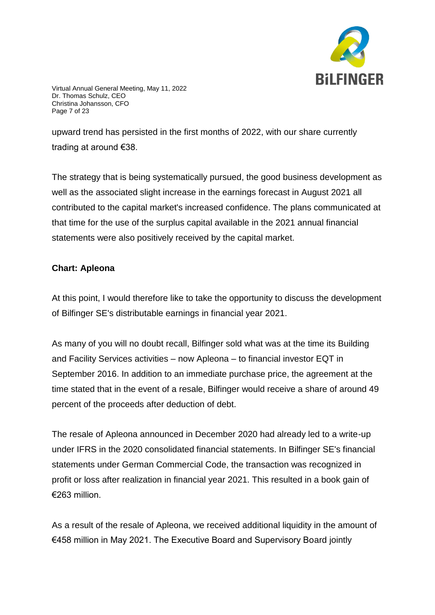

Virtual Annual General Meeting, May 11, 2022 Dr. Thomas Schulz, CEO Christina Johansson, CFO Page 7 of 23

upward trend has persisted in the first months of 2022, with our share currently trading at around €38.

The strategy that is being systematically pursued, the good business development as well as the associated slight increase in the earnings forecast in August 2021 all contributed to the capital market's increased confidence. The plans communicated at that time for the use of the surplus capital available in the 2021 annual financial statements were also positively received by the capital market.

## **Chart: Apleona**

At this point, I would therefore like to take the opportunity to discuss the development of Bilfinger SE's distributable earnings in financial year 2021.

As many of you will no doubt recall, Bilfinger sold what was at the time its Building and Facility Services activities – now Apleona – to financial investor EQT in September 2016. In addition to an immediate purchase price, the agreement at the time stated that in the event of a resale, Bilfinger would receive a share of around 49 percent of the proceeds after deduction of debt.

The resale of Apleona announced in December 2020 had already led to a write-up under IFRS in the 2020 consolidated financial statements. In Bilfinger SE's financial statements under German Commercial Code, the transaction was recognized in profit or loss after realization in financial year 2021. This resulted in a book gain of €263 million.

As a result of the resale of Apleona, we received additional liquidity in the amount of €458 million in May 2021. The Executive Board and Supervisory Board jointly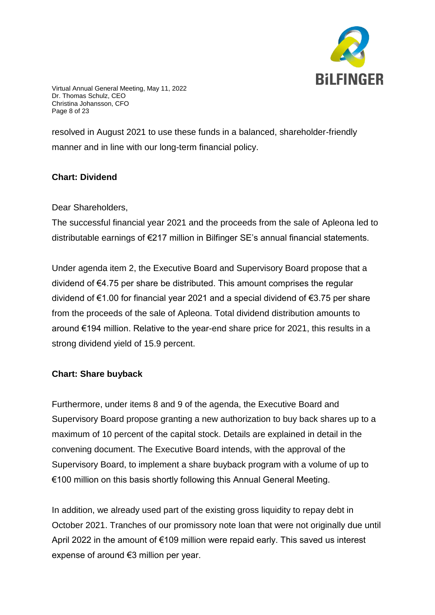

Virtual Annual General Meeting, May 11, 2022 Dr. Thomas Schulz, CEO Christina Johansson, CFO Page 8 of 23

resolved in August 2021 to use these funds in a balanced, shareholder-friendly manner and in line with our long-term financial policy.

# **Chart: Dividend**

Dear Shareholders,

The successful financial year 2021 and the proceeds from the sale of Apleona led to distributable earnings of €217 million in Bilfinger SE's annual financial statements.

Under agenda item 2, the Executive Board and Supervisory Board propose that a dividend of €4.75 per share be distributed. This amount comprises the regular dividend of €1.00 for financial year 2021 and a special dividend of €3.75 per share from the proceeds of the sale of Apleona. Total dividend distribution amounts to around €194 million. Relative to the year-end share price for 2021, this results in a strong dividend yield of 15.9 percent.

## **Chart: Share buyback**

Furthermore, under items 8 and 9 of the agenda, the Executive Board and Supervisory Board propose granting a new authorization to buy back shares up to a maximum of 10 percent of the capital stock. Details are explained in detail in the convening document. The Executive Board intends, with the approval of the Supervisory Board, to implement a share buyback program with a volume of up to €100 million on this basis shortly following this Annual General Meeting.

In addition, we already used part of the existing gross liquidity to repay debt in October 2021. Tranches of our promissory note loan that were not originally due until April 2022 in the amount of €109 million were repaid early. This saved us interest expense of around €3 million per year.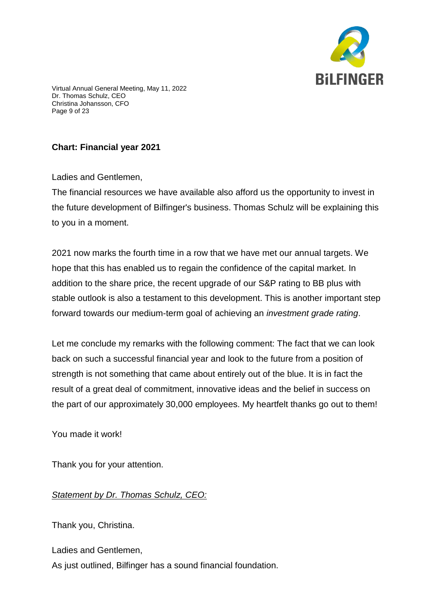

Virtual Annual General Meeting, May 11, 2022 Dr. Thomas Schulz, CEO Christina Johansson, CFO Page 9 of 23

# **Chart: Financial year 2021**

Ladies and Gentlemen,

The financial resources we have available also afford us the opportunity to invest in the future development of Bilfinger's business. Thomas Schulz will be explaining this to you in a moment.

2021 now marks the fourth time in a row that we have met our annual targets. We hope that this has enabled us to regain the confidence of the capital market. In addition to the share price, the recent upgrade of our S&P rating to BB plus with stable outlook is also a testament to this development. This is another important step forward towards our medium-term goal of achieving an *investment grade rating*.

Let me conclude my remarks with the following comment: The fact that we can look back on such a successful financial year and look to the future from a position of strength is not something that came about entirely out of the blue. It is in fact the result of a great deal of commitment, innovative ideas and the belief in success on the part of our approximately 30,000 employees. My heartfelt thanks go out to them!

You made it work!

Thank you for your attention.

## *Statement by Dr. Thomas Schulz, CEO:*

Thank you, Christina.

Ladies and Gentlemen,

As just outlined, Bilfinger has a sound financial foundation.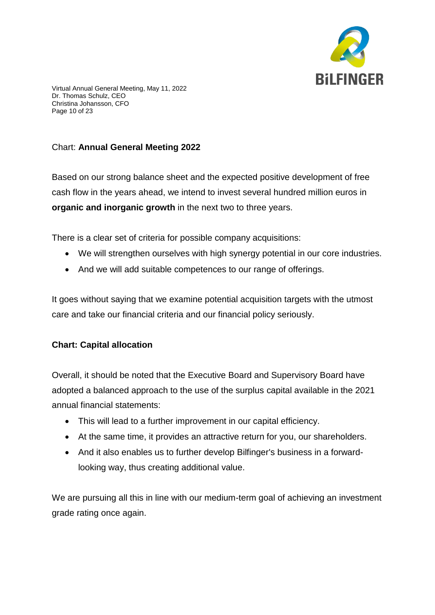

Virtual Annual General Meeting, May 11, 2022 Dr. Thomas Schulz, CEO Christina Johansson, CFO Page 10 of 23

# Chart: **Annual General Meeting 2022**

Based on our strong balance sheet and the expected positive development of free cash flow in the years ahead, we intend to invest several hundred million euros in **organic and inorganic growth** in the next two to three years.

There is a clear set of criteria for possible company acquisitions:

- We will strengthen ourselves with high synergy potential in our core industries.
- And we will add suitable competences to our range of offerings.

It goes without saying that we examine potential acquisition targets with the utmost care and take our financial criteria and our financial policy seriously.

## **Chart: Capital allocation**

Overall, it should be noted that the Executive Board and Supervisory Board have adopted a balanced approach to the use of the surplus capital available in the 2021 annual financial statements:

- This will lead to a further improvement in our capital efficiency.
- At the same time, it provides an attractive return for you, our shareholders.
- And it also enables us to further develop Bilfinger's business in a forwardlooking way, thus creating additional value.

We are pursuing all this in line with our medium-term goal of achieving an investment grade rating once again.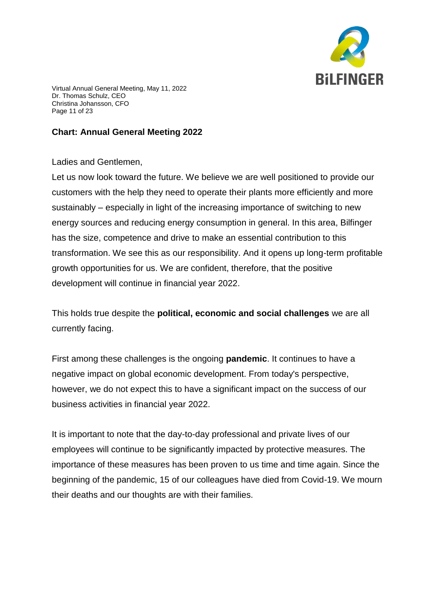

Virtual Annual General Meeting, May 11, 2022 Dr. Thomas Schulz, CEO Christina Johansson, CFO Page 11 of 23

### **Chart: Annual General Meeting 2022**

## Ladies and Gentlemen,

Let us now look toward the future. We believe we are well positioned to provide our customers with the help they need to operate their plants more efficiently and more sustainably – especially in light of the increasing importance of switching to new energy sources and reducing energy consumption in general. In this area, Bilfinger has the size, competence and drive to make an essential contribution to this transformation. We see this as our responsibility. And it opens up long-term profitable growth opportunities for us. We are confident, therefore, that the positive development will continue in financial year 2022.

This holds true despite the **political, economic and social challenges** we are all currently facing.

First among these challenges is the ongoing **pandemic**. It continues to have a negative impact on global economic development. From today's perspective, however, we do not expect this to have a significant impact on the success of our business activities in financial year 2022.

It is important to note that the day-to-day professional and private lives of our employees will continue to be significantly impacted by protective measures. The importance of these measures has been proven to us time and time again. Since the beginning of the pandemic, 15 of our colleagues have died from Covid-19. We mourn their deaths and our thoughts are with their families.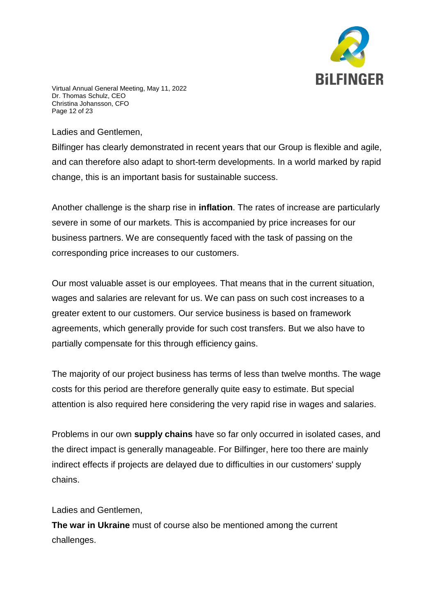

Virtual Annual General Meeting, May 11, 2022 Dr. Thomas Schulz, CEO Christina Johansson, CFO Page 12 of 23

Ladies and Gentlemen,

Bilfinger has clearly demonstrated in recent years that our Group is flexible and agile, and can therefore also adapt to short-term developments. In a world marked by rapid change, this is an important basis for sustainable success.

Another challenge is the sharp rise in **inflation**. The rates of increase are particularly severe in some of our markets. This is accompanied by price increases for our business partners. We are consequently faced with the task of passing on the corresponding price increases to our customers.

Our most valuable asset is our employees. That means that in the current situation, wages and salaries are relevant for us. We can pass on such cost increases to a greater extent to our customers. Our service business is based on framework agreements, which generally provide for such cost transfers. But we also have to partially compensate for this through efficiency gains.

The majority of our project business has terms of less than twelve months. The wage costs for this period are therefore generally quite easy to estimate. But special attention is also required here considering the very rapid rise in wages and salaries.

Problems in our own **supply chains** have so far only occurred in isolated cases, and the direct impact is generally manageable. For Bilfinger, here too there are mainly indirect effects if projects are delayed due to difficulties in our customers' supply chains.

Ladies and Gentlemen,

**The war in Ukraine** must of course also be mentioned among the current challenges.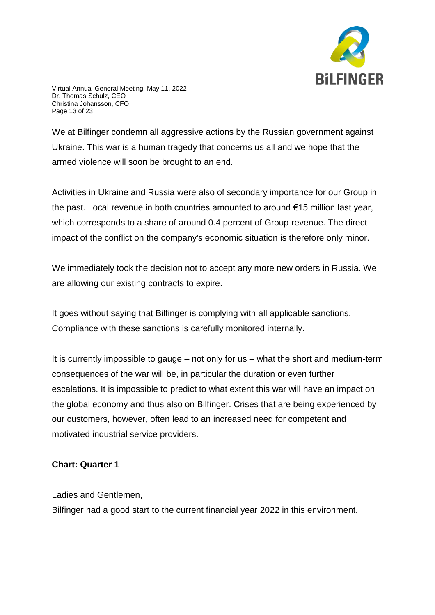

Virtual Annual General Meeting, May 11, 2022 Dr. Thomas Schulz, CEO Christina Johansson, CFO Page 13 of 23

We at Bilfinger condemn all aggressive actions by the Russian government against Ukraine. This war is a human tragedy that concerns us all and we hope that the armed violence will soon be brought to an end.

Activities in Ukraine and Russia were also of secondary importance for our Group in the past. Local revenue in both countries amounted to around €15 million last year, which corresponds to a share of around 0.4 percent of Group revenue. The direct impact of the conflict on the company's economic situation is therefore only minor.

We immediately took the decision not to accept any more new orders in Russia. We are allowing our existing contracts to expire.

It goes without saying that Bilfinger is complying with all applicable sanctions. Compliance with these sanctions is carefully monitored internally.

It is currently impossible to gauge – not only for us – what the short and medium-term consequences of the war will be, in particular the duration or even further escalations. It is impossible to predict to what extent this war will have an impact on the global economy and thus also on Bilfinger. Crises that are being experienced by our customers, however, often lead to an increased need for competent and motivated industrial service providers.

#### **Chart: Quarter 1**

Ladies and Gentlemen,

Bilfinger had a good start to the current financial year 2022 in this environment.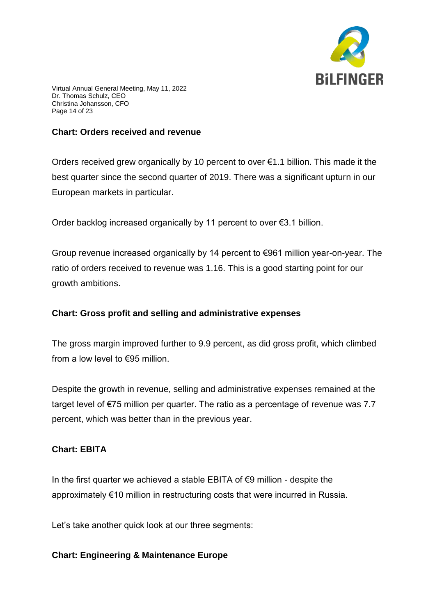

Virtual Annual General Meeting, May 11, 2022 Dr. Thomas Schulz, CEO Christina Johansson, CFO Page 14 of 23

#### **Chart: Orders received and revenue**

Orders received grew organically by 10 percent to over  $\epsilon$ 1.1 billion. This made it the best quarter since the second quarter of 2019. There was a significant upturn in our European markets in particular.

Order backlog increased organically by 11 percent to over €3.1 billion.

Group revenue increased organically by 14 percent to €961 million year-on-year. The ratio of orders received to revenue was 1.16. This is a good starting point for our growth ambitions.

#### **Chart: Gross profit and selling and administrative expenses**

The gross margin improved further to 9.9 percent, as did gross profit, which climbed from a low level to  $\epsilon$ 95 million.

Despite the growth in revenue, selling and administrative expenses remained at the target level of €75 million per quarter. The ratio as a percentage of revenue was 7.7 percent, which was better than in the previous year.

## **Chart: EBITA**

In the first quarter we achieved a stable EBITA of €9 million - despite the approximately €10 million in restructuring costs that were incurred in Russia.

Let's take another quick look at our three segments:

#### **Chart: Engineering & Maintenance Europe**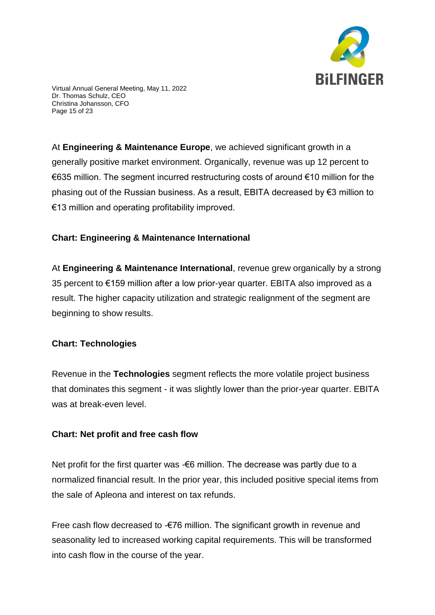

Virtual Annual General Meeting, May 11, 2022 Dr. Thomas Schulz, CEO Christina Johansson, CFO Page 15 of 23

At **Engineering & Maintenance Europe**, we achieved significant growth in a generally positive market environment. Organically, revenue was up 12 percent to €635 million. The segment incurred restructuring costs of around €10 million for the phasing out of the Russian business. As a result, EBITA decreased by €3 million to €13 million and operating profitability improved.

## **Chart: Engineering & Maintenance International**

At **Engineering & Maintenance International**, revenue grew organically by a strong 35 percent to €159 million after a low prior-year quarter. EBITA also improved as a result. The higher capacity utilization and strategic realignment of the segment are beginning to show results.

## **Chart: Technologies**

Revenue in the **Technologies** segment reflects the more volatile project business that dominates this segment - it was slightly lower than the prior-year quarter. EBITA was at break-even level.

## **Chart: Net profit and free cash flow**

Net profit for the first quarter was - €6 million. The decrease was partly due to a normalized financial result. In the prior year, this included positive special items from the sale of Apleona and interest on tax refunds.

Free cash flow decreased to -€76 million. The significant growth in revenue and seasonality led to increased working capital requirements. This will be transformed into cash flow in the course of the year.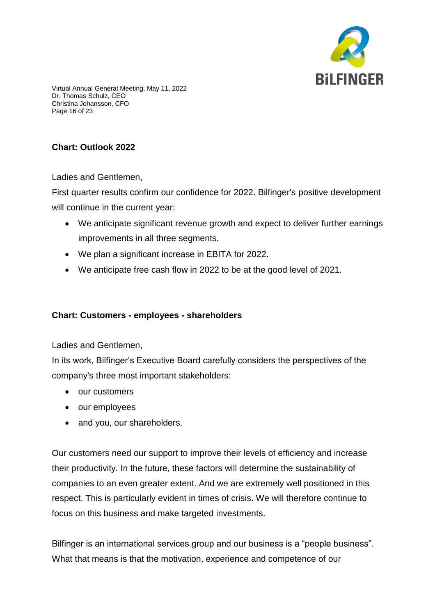

Virtual Annual General Meeting, May 11, 2022 Dr. Thomas Schulz, CEO Christina Johansson, CFO Page 16 of 23

# **Chart: Outlook 2022**

Ladies and Gentlemen,

First quarter results confirm our confidence for 2022. Bilfinger's positive development will continue in the current year:

- We anticipate significant revenue growth and expect to deliver further earnings improvements in all three segments.
- We plan a significant increase in EBITA for 2022.
- We anticipate free cash flow in 2022 to be at the good level of 2021.

## **Chart: Customers - employees - shareholders**

Ladies and Gentlemen,

In its work, Bilfinger's Executive Board carefully considers the perspectives of the company's three most important stakeholders:

- our customers
- our employees
- and you, our shareholders.

Our customers need our support to improve their levels of efficiency and increase their productivity. In the future, these factors will determine the sustainability of companies to an even greater extent. And we are extremely well positioned in this respect. This is particularly evident in times of crisis. We will therefore continue to focus on this business and make targeted investments.

Bilfinger is an international services group and our business is a "people business". What that means is that the motivation, experience and competence of our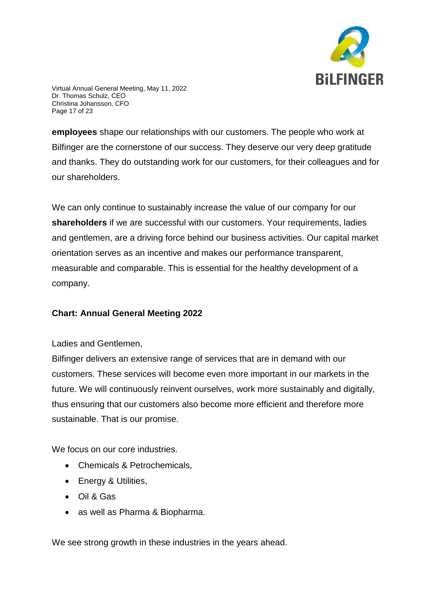

Virtual Annual General Meeting, May 11, 2022 Dr. Thomas Schulz, CEO Christina Johansson, CFO Page 17 of 23

**employees** shape our relationships with our customers. The people who work at Bilfinger are the cornerstone of our success. They deserve our very deep gratitude and thanks. They do outstanding work for our customers, for their colleagues and for our shareholders.

We can only continue to sustainably increase the value of our company for our **shareholders** if we are successful with our customers. Your requirements, ladies and gentlemen, are a driving force behind our business activities. Our capital market orientation serves as an incentive and makes our performance transparent, measurable and comparable. This is essential for the healthy development of a company.

## **Chart: Annual General Meeting 2022**

#### Ladies and Gentlemen,

Bilfinger delivers an extensive range of services that are in demand with our customers. These services will become even more important in our markets in the future. We will continuously reinvent ourselves, work more sustainably and digitally, thus ensuring that our customers also become more efficient and therefore more sustainable. That is our promise.

We focus on our core industries.

- Chemicals & Petrochemicals,
- Energy & Utilities,
- Oil & Gas
- as well as Pharma & Biopharma.

We see strong growth in these industries in the years ahead.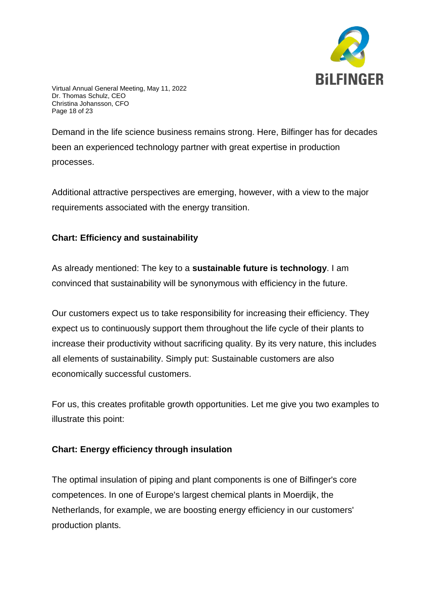

Virtual Annual General Meeting, May 11, 2022 Dr. Thomas Schulz, CEO Christina Johansson, CFO Page 18 of 23

Demand in the life science business remains strong. Here, Bilfinger has for decades been an experienced technology partner with great expertise in production processes.

Additional attractive perspectives are emerging, however, with a view to the major requirements associated with the energy transition.

# **Chart: Efficiency and sustainability**

As already mentioned: The key to a **sustainable future is technology**. I am convinced that sustainability will be synonymous with efficiency in the future.

Our customers expect us to take responsibility for increasing their efficiency. They expect us to continuously support them throughout the life cycle of their plants to increase their productivity without sacrificing quality. By its very nature, this includes all elements of sustainability. Simply put: Sustainable customers are also economically successful customers.

For us, this creates profitable growth opportunities. Let me give you two examples to illustrate this point:

## **Chart: Energy efficiency through insulation**

The optimal insulation of piping and plant components is one of Bilfinger's core competences. In one of Europe's largest chemical plants in Moerdijk, the Netherlands, for example, we are boosting energy efficiency in our customers' production plants.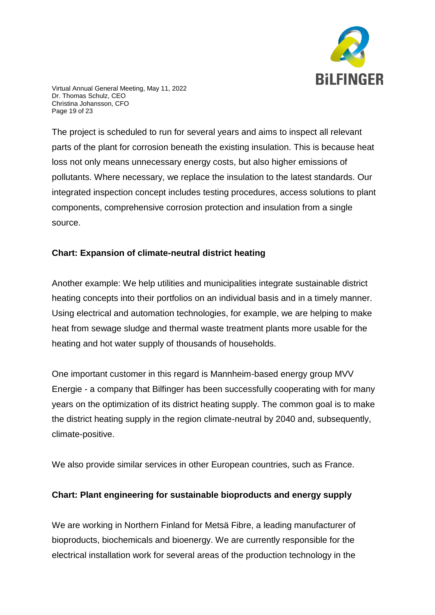

Virtual Annual General Meeting, May 11, 2022 Dr. Thomas Schulz, CEO Christina Johansson, CFO Page 19 of 23

The project is scheduled to run for several years and aims to inspect all relevant parts of the plant for corrosion beneath the existing insulation. This is because heat loss not only means unnecessary energy costs, but also higher emissions of pollutants. Where necessary, we replace the insulation to the latest standards. Our integrated inspection concept includes testing procedures, access solutions to plant components, comprehensive corrosion protection and insulation from a single source.

## **Chart: Expansion of climate-neutral district heating**

Another example: We help utilities and municipalities integrate sustainable district heating concepts into their portfolios on an individual basis and in a timely manner. Using electrical and automation technologies, for example, we are helping to make heat from sewage sludge and thermal waste treatment plants more usable for the heating and hot water supply of thousands of households.

One important customer in this regard is Mannheim-based energy group MVV Energie - a company that Bilfinger has been successfully cooperating with for many years on the optimization of its district heating supply. The common goal is to make the district heating supply in the region climate-neutral by 2040 and, subsequently, climate-positive.

We also provide similar services in other European countries, such as France.

## **Chart: Plant engineering for sustainable bioproducts and energy supply**

We are working in Northern Finland for Metsä Fibre, a leading manufacturer of bioproducts, biochemicals and bioenergy. We are currently responsible for the electrical installation work for several areas of the production technology in the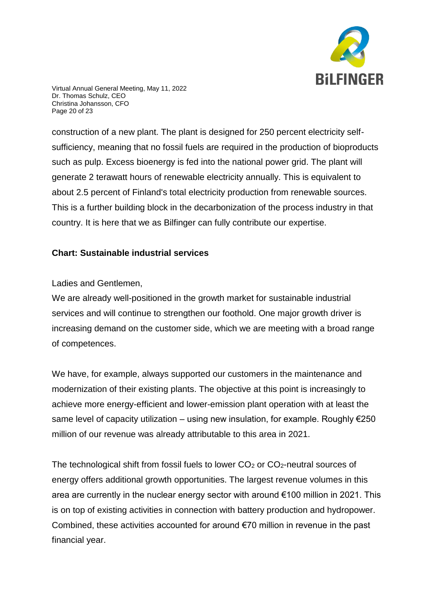

Virtual Annual General Meeting, May 11, 2022 Dr. Thomas Schulz, CEO Christina Johansson, CFO Page 20 of 23

construction of a new plant. The plant is designed for 250 percent electricity selfsufficiency, meaning that no fossil fuels are required in the production of bioproducts such as pulp. Excess bioenergy is fed into the national power grid. The plant will generate 2 terawatt hours of renewable electricity annually. This is equivalent to about 2.5 percent of Finland's total electricity production from renewable sources. This is a further building block in the decarbonization of the process industry in that country. It is here that we as Bilfinger can fully contribute our expertise.

### **Chart: Sustainable industrial services**

Ladies and Gentlemen,

We are already well-positioned in the growth market for sustainable industrial services and will continue to strengthen our foothold. One major growth driver is increasing demand on the customer side, which we are meeting with a broad range of competences.

We have, for example, always supported our customers in the maintenance and modernization of their existing plants. The objective at this point is increasingly to achieve more energy-efficient and lower-emission plant operation with at least the same level of capacity utilization – using new insulation, for example. Roughly  $\epsilon$ 250 million of our revenue was already attributable to this area in 2021.

The technological shift from fossil fuels to lower  $CO<sub>2</sub>$  or  $CO<sub>2</sub>$ -neutral sources of energy offers additional growth opportunities. The largest revenue volumes in this area are currently in the nuclear energy sector with around €100 million in 2021. This is on top of existing activities in connection with battery production and hydropower. Combined, these activities accounted for around €70 million in revenue in the past financial year.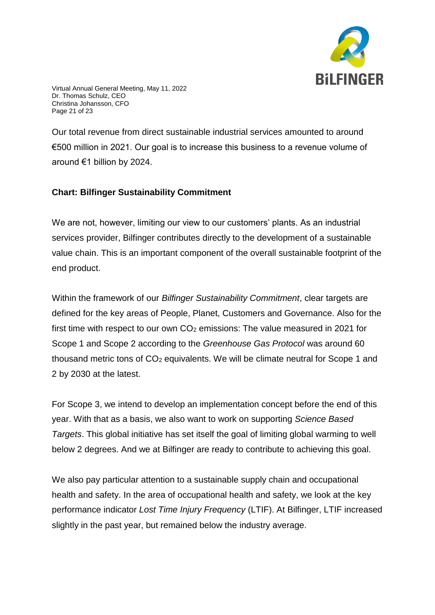

Virtual Annual General Meeting, May 11, 2022 Dr. Thomas Schulz, CEO Christina Johansson, CFO Page 21 of 23

Our total revenue from direct sustainable industrial services amounted to around €500 million in 2021. Our goal is to increase this business to a revenue volume of around €1 billion by 2024.

### **Chart: Bilfinger Sustainability Commitment**

We are not, however, limiting our view to our customers' plants. As an industrial services provider, Bilfinger contributes directly to the development of a sustainable value chain. This is an important component of the overall sustainable footprint of the end product.

Within the framework of our *Bilfinger Sustainability Commitment*, clear targets are defined for the key areas of People, Planet, Customers and Governance. Also for the first time with respect to our own CO<sub>2</sub> emissions: The value measured in 2021 for Scope 1 and Scope 2 according to the *Greenhouse Gas Protocol* was around 60 thousand metric tons of CO<sup>2</sup> equivalents. We will be climate neutral for Scope 1 and 2 by 2030 at the latest.

For Scope 3, we intend to develop an implementation concept before the end of this year. With that as a basis, we also want to work on supporting *Science Based Targets*. This global initiative has set itself the goal of limiting global warming to well below 2 degrees. And we at Bilfinger are ready to contribute to achieving this goal.

We also pay particular attention to a sustainable supply chain and occupational health and safety. In the area of occupational health and safety, we look at the key performance indicator *Lost Time Injury Frequency* (LTIF). At Bilfinger, LTIF increased slightly in the past year, but remained below the industry average.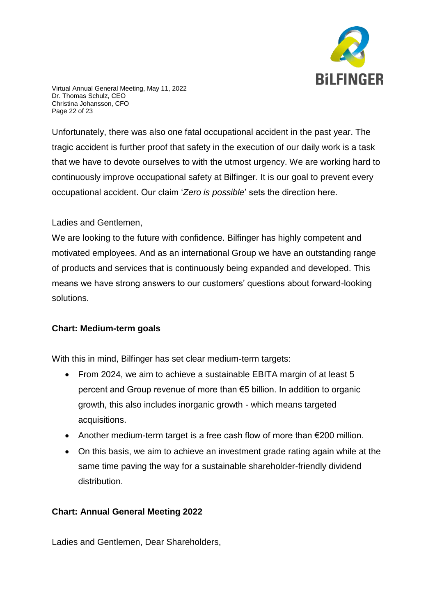

Virtual Annual General Meeting, May 11, 2022 Dr. Thomas Schulz, CEO Christina Johansson, CFO Page 22 of 23

Unfortunately, there was also one fatal occupational accident in the past year. The tragic accident is further proof that safety in the execution of our daily work is a task that we have to devote ourselves to with the utmost urgency. We are working hard to continuously improve occupational safety at Bilfinger. It is our goal to prevent every occupational accident. Our claim '*Zero is possible*' sets the direction here.

### Ladies and Gentlemen,

We are looking to the future with confidence. Bilfinger has highly competent and motivated employees. And as an international Group we have an outstanding range of products and services that is continuously being expanded and developed. This means we have strong answers to our customers' questions about forward-looking solutions.

## **Chart: Medium-term goals**

With this in mind, Bilfinger has set clear medium-term targets:

- From 2024, we aim to achieve a sustainable EBITA margin of at least 5 percent and Group revenue of more than €5 billion. In addition to organic growth, this also includes inorganic growth - which means targeted acquisitions.
- Another medium-term target is a free cash flow of more than €200 million.
- On this basis, we aim to achieve an investment grade rating again while at the same time paving the way for a sustainable shareholder-friendly dividend distribution.

## **Chart: Annual General Meeting 2022**

Ladies and Gentlemen, Dear Shareholders,